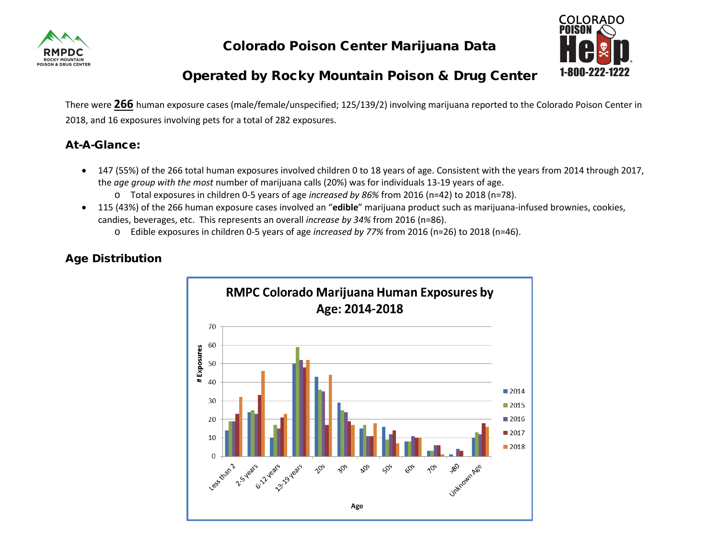

Colorado Poison Center Marijuana Data



# Operated by Rocky Mountain Poison & Drug Center

There were **266** human exposure cases (male/female/unspecified; 125/139/2) involving marijuana reported to the Colorado Poison Center in 2018, and 16 exposures involving pets for a total of 282 exposures.

## At-A-Glance:

- 147 (55%) of the 266 total human exposures involved children 0 to 18 years of age. Consistent with the years from 2014 through 2017, the *age group with the most* number of marijuana calls (20%) was for individuals 13-19 years of age.
	- o Total exposures in children 0-5 years of age *increased by 86%* from 2016 (n=42) to 2018 (n=78).
- 115 (43%) of the 266 human exposure cases involved an "**edible**" marijuana product such as marijuana-infused brownies, cookies, candies, beverages, etc. This represents an overall *increase by 34%* from 2016 (n=86).
	- o Edible exposures in children 0-5 years of age *increased by 77%* from 2016 (n=26) to 2018 (n=46).



# Age Distribution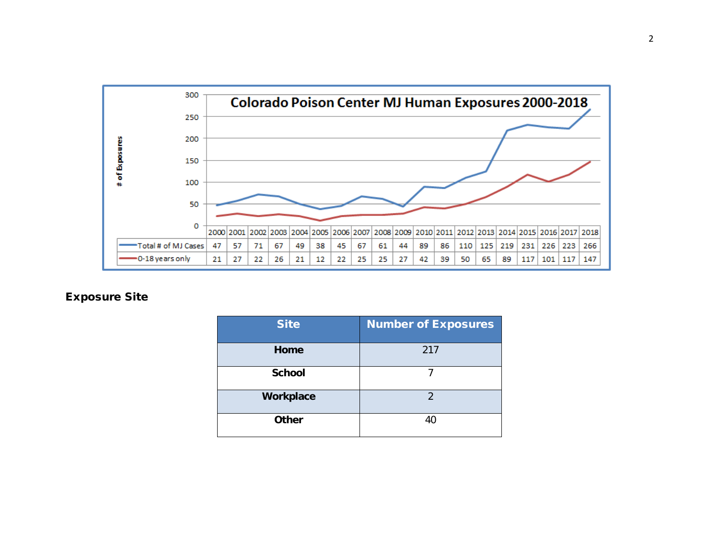

### Exposure Site

| <b>Site</b>   | <b>Number of Exposures</b> |
|---------------|----------------------------|
| Home          | 217                        |
| <b>School</b> |                            |
| Workplace     | $\mathfrak{D}$             |
| <b>Other</b>  | 40                         |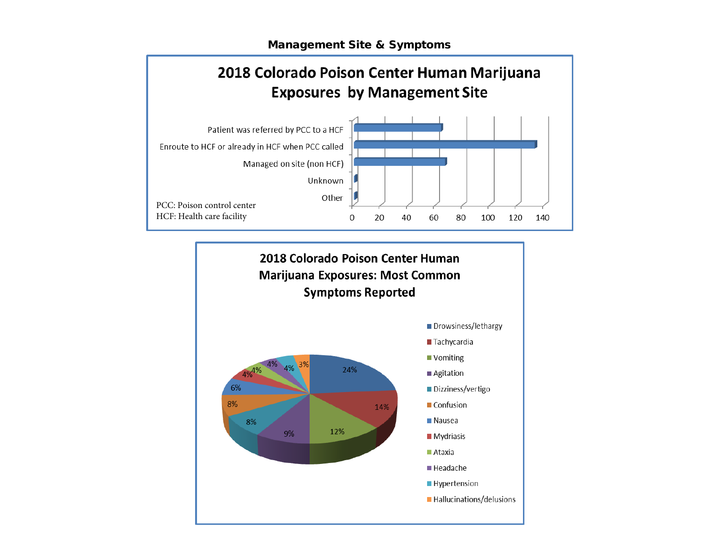